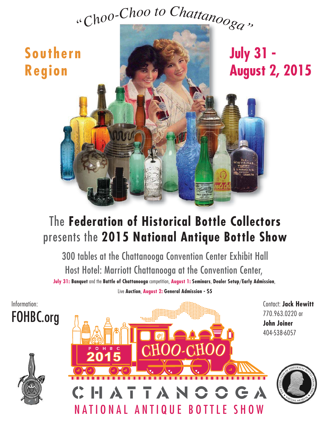# *"Choo-Cho<sup>o</sup> <sup>t</sup><sup>o</sup> <sup>C</sup>hattanooga"*



# The **Federation of Historical Bottle Collectors** presents the **2015 National Antique Bottle Show**

300 tables at the Chattanooga Convention Center Exhibit Hall Host Hotel: Marriott Chattanooga at the Convention Center,

**July 31: Banquet** and the **Battle of Chattanooga** competition, **August 1: Seminars**, **Dealer Setup**/**Early Admission**, Live **Auction**, **August 2: General Admission - \$5**

Information: FOHBC.org





Contact: **Jack Hewitt** 770.963.0220 or **John Joiner** 404-538-6057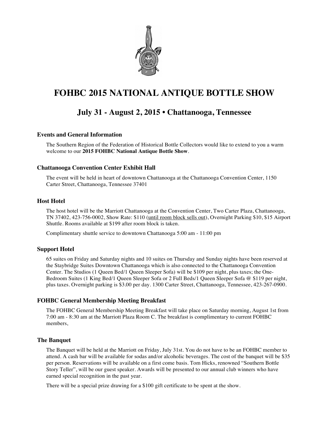

### **July 31 - August 2, 2015 • Chattanooga, Tennessee**

#### **Events and General Information**

The Southern Region of the Federation of Historical Bottle Collectors would like to extend to you a warm welcome to our **2015 FOHBC National Antique Bottle Show**.

#### **Chattanooga Convention Center Exhibit Hall**

The event will be held in heart of downtown Chattanooga at the Chattanooga Convention Center, 1150 Carter Street, Chattanooga, Tennessee 37401

#### **Host Hotel**

The host hotel will be the Marriott Chattanooga at the Convention Center, Two Carter Plaza, Chattanooga, TN 37402, 423-756-0002, Show Rate: \$110 (until room block sells out), Overnight Parking \$10, \$15 Airport Shuttle. Rooms available at \$199 after room block is taken.

Complimentary shuttle service to downtown Chattanooga 5:00 am - 11:00 pm

#### **Support Hotel**

65 suites on Friday and Saturday nights and 10 suites on Thursday and Sunday nights have been reserved at the Staybridge Suites Downtown Chattanooga which is also connected to the Chattanooga Convention Center. The Studios (1 Queen Bed/1 Queen Sleeper Sofa) will be \$109 per night, plus taxes; the One-Bedroom Suites (1 King Bed/1 Queen Sleeper Sofa or 2 Full Beds/1 Queen Sleeper Sofa @ \$119 per night, plus taxes. Overnight parking is \$3.00 per day. 1300 Carter Street, Chattanooga, Tennessee, 423-267-0900.

#### **FOHBC General Membership Meeting Breakfast**

The FOHBC General Membership Meeting Breakfast will take place on Saturday morning, August 1st from 7:00 am - 8:30 am at the Marriott Plaza Room C. The breakfast is complimentary to current FOHBC members,

#### **The Banquet**

The Banquet will be held at the Marriott on Friday, July 31st. You do not have to be an FOHBC member to attend. A cash bar will be available for sodas and/or alcoholic beverages. The cost of the banquet will be \$35 per person. Reservations will be available on a first come basis. Tom Hicks, renowned "Southern Bottle Story Teller", will be our guest speaker. Awards will be presented to our annual club winners who have earned special recognition in the past year.

There will be a special prize drawing for a \$100 gift certificate to be spent at the show.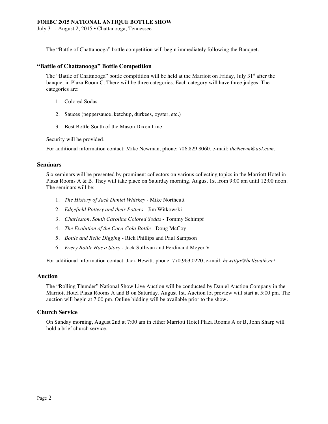July 31 - August 2, 2015 • Chattanooga, Tennessee

The "Battle of Chattanooga" bottle competition will begin immediately following the Banquet.

#### **"Battle of Chattanooga" Bottle Competition**

The "Battle of Chattnooga" bottle compitition will be held at the Marriott on Friday, July 31<sup>st</sup> after the banquet in Plaza Room C. There will be three categories. Each category will have three judges. The categories are:

- 1. Colored Sodas
- 2. Sauces (peppersauce, ketchup, durkees, oyster, etc.)
- 3. Best Bottle South of the Mason Dixon Line

Security will be provided.

For additional information contact: Mike Newman, phone: 706.829.8060, e-mail: *theNewm@aol.com*.

#### **Seminars**

Six seminars will be presented by prominent collectors on various collecting topics in the Marriott Hotel in Plaza Rooms A & B. They will take place on Saturday morning, August 1st from 9:00 am until 12:00 noon. The seminars will be:

- 1. *The History of Jack Daniel Whiskey* Mike Northcutt
- 2. *Edgefield Pottery and their Potters* Jim Witkowski
- 3. *Charleston, South Carolina Colored Sodas* Tommy Schimpf
- 4. *The Evolution of the Coca-Cola Bottle* Doug McCoy
- 5. *Bottle and Relic Digging* Rick Phillips and Paul Sampson
- 6. *Every Bottle Has a Story* Jack Sullivan and Ferdinand Meyer V

For additional information contact: Jack Hewitt, phone: 770.963.0220, e-mail: *hewittja@bellsouth.net*.

#### **Auction**

The "Rolling Thunder" National Show Live Auction will be conducted by Daniel Auction Company in the Marriott Hotel Plaza Rooms A and B on Saturday, August 1st. Auction lot preview will start at 5:00 pm. The auction will begin at 7:00 pm. Online bidding will be available prior to the show.

#### **Church Service**

On Sunday morning, August 2nd at 7:00 am in either Marriott Hotel Plaza Rooms A or B, John Sharp will hold a brief church service.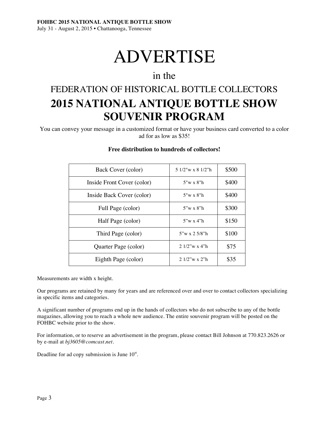# ADVERTISE

## in the

# FEDERATION OF HISTORICAL BOTTLE COLLECTORS **2015 NATIONAL ANTIQUE BOTTLE SHOW SOUVENIR PROGRAM**

You can convey your message in a customized format or have your business card converted to a color ad for as low as \$35!

| Back Cover (color)         | 5 1/2"w x 8 1/2"h      | \$500 |
|----------------------------|------------------------|-------|
| Inside Front Cover (color) | $5"w \times 8"h$       | \$400 |
| Inside Back Cover (color)  | $5"w \times 8"h$       | \$400 |
| Full Page (color)          | $5"w \times 8"h$       | \$300 |
| Half Page (color)          | $5''w \times 4''h$     | \$150 |
| Third Page (color)         | $5''w \times 2.5/8''h$ | \$100 |
| Quarter Page (color)       | $2.1/2$ "w x 4"h       | \$75  |
| Eighth Page (color)        | $2.1/2$ "w x 2"h       | \$35  |

#### **Free distribution to hundreds of collectors!**

Measurements are width x height.

Our programs are retained by many for years and are referenced over and over to contact collectors specializing in specific items and categories.

A significant number of programs end up in the hands of collectors who do not subscribe to any of the bottle magazines, allowing you to reach a whole new audience. The entire souvenir program will be posted on the FOHBC website prior to the show.

For information, or to reserve an advertisement in the program, please contact Bill Johnson at 770.823.2626 or by e-mail at *bj3605@comcast.net*.

Deadline for ad copy submission is June 10st.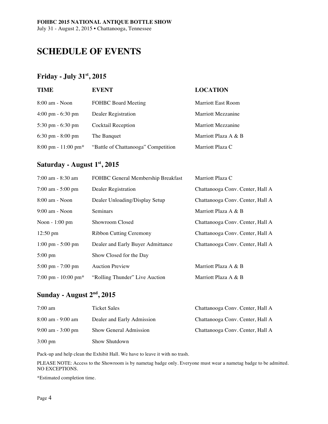# **SCHEDULE OF EVENTS**

#### **Friday - July 31st , 2015**

| <b>TIME</b>                            | <b>EVENT</b>                        | <b>LOCATION</b>           |
|----------------------------------------|-------------------------------------|---------------------------|
| $8:00$ am - Noon                       | <b>FOHBC</b> Board Meeting          | <b>Marriott East Room</b> |
| $4:00 \text{ pm} - 6:30 \text{ pm}$    | Dealer Registration                 | Marriott Mezzanine        |
| $5:30 \text{ pm} - 6:30 \text{ pm}$    | Cocktail Reception                  | Marriott Mezzanine        |
| $6:30 \text{ pm} - 8:00 \text{ pm}$    | The Banquet                         | Marriott Plaza A & B      |
| $8:00 \text{ pm} - 11:00 \text{ pm}^*$ | "Battle of Chattanooga" Competition | Marriott Plaza C          |

#### **Saturday - August 1st , 2015**

| $7:00$ am $-8:30$ am                   | FOHBC General Membership Breakfast | Marriott Plaza C                 |
|----------------------------------------|------------------------------------|----------------------------------|
| $7:00$ am $-5:00$ pm                   | Dealer Registration                | Chattanooga Conv. Center, Hall A |
| $8:00$ am - Noon                       | Dealer Unloading/Display Setup     | Chattanooga Conv. Center, Hall A |
| $9:00$ am - Noon                       | <b>Seminars</b>                    | Marriott Plaza A & B             |
| Noon $-1:00$ pm                        | Showroom Closed                    | Chattanooga Conv. Center, Hall A |
| $12:50 \text{ pm}$                     | <b>Ribbon Cutting Ceremony</b>     | Chattanooga Conv. Center, Hall A |
| $1:00 \text{ pm} - 5:00 \text{ pm}$    | Dealer and Early Buyer Admittance  | Chattanooga Conv. Center, Hall A |
| $5:00 \text{ pm}$                      | Show Closed for the Day            |                                  |
| $5:00 \text{ pm} - 7:00 \text{ pm}$    | <b>Auction Preview</b>             | Marriott Plaza A & B             |
| $7:00 \text{ pm} - 10:00 \text{ pm}^*$ | "Rolling Thunder" Live Auction     | Marriott Plaza A & B             |

#### **Sunday - August 2nd , 2015**

| $7:00 \text{ am}$    | Ticket Sales               | Chattanooga Conv. Center, Hall A |
|----------------------|----------------------------|----------------------------------|
| $8:00$ am - 9:00 am  | Dealer and Early Admission | Chattanooga Conv. Center, Hall A |
| $9:00$ am $-3:00$ pm | Show General Admission     | Chattanooga Conv. Center, Hall A |
| $3:00 \text{ pm}$    | Show Shutdown              |                                  |

Pack-up and help clean the Exhibit Hall. We have to leave it with no trash.

PLEASE NOTE: Access to the Showroom is by nametag badge only. Everyone must wear a nametag badge to be admitted. NO EXCEPTIONS.

\*Estimated completion time.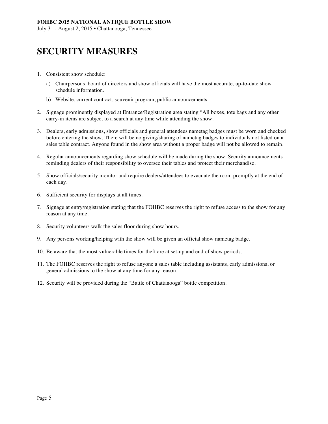# **SECURITY MEASURES**

- 1. Consistent show schedule:
	- a) Chairpersons, board of directors and show officials will have the most accurate, up-to-date show schedule information.
	- b) Website, current contract, souvenir program, public announcements
- 2. Signage prominently displayed at Entrance/Registration area stating "All boxes, tote bags and any other carry-in items are subject to a search at any time while attending the show.
- 3. Dealers, early admissions, show officials and general attendees nametag badges must be worn and checked before entering the show. There will be no giving/sharing of nametag badges to individuals not listed on a sales table contract. Anyone found in the show area without a proper badge will not be allowed to remain.
- 4. Regular announcements regarding show schedule will be made during the show. Security announcements reminding dealers of their responsibility to oversee their tables and protect their merchandise.
- 5. Show officials/security monitor and require dealers/attendees to evacuate the room promptly at the end of each day.
- 6. Sufficient security for displays at all times.
- 7. Signage at entry/registration stating that the FOHBC reserves the right to refuse access to the show for any reason at any time.
- 8. Security volunteers walk the sales floor during show hours.
- 9. Any persons working/helping with the show will be given an official show nametag badge.
- 10. Be aware that the most vulnerable times for theft are at set-up and end of show periods.
- 11. The FOHBC reserves the right to refuse anyone a sales table including assistants, early admissions, or general admissions to the show at any time for any reason.
- 12. Security will be provided during the "Battle of Chattanooga" bottle competition.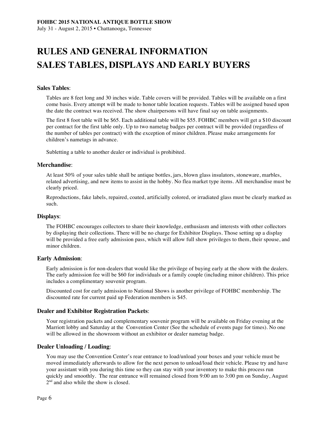# **RULES AND GENERAL INFORMATION SALES TABLES, DISPLAYS AND EARLY BUYERS**

#### **Sales Tables**:

Tables are 8 feet long and 30 inches wide. Table covers will be provided. Tables will be available on a first come basis. Every attempt will be made to honor table location requests. Tables will be assigned based upon the date the contract was received. The show chairpersons will have final say on table assignments.

The first 8 foot table will be \$65. Each additional table will be \$55. FOHBC members will get a \$10 discount per contract for the first table only. Up to two nametag badges per contract will be provided (regardless of the number of tables per contract) with the exception of minor children. Please make arrangements for children's nametags in advance.

Subletting a table to another dealer or individual is prohibited.

#### **Merchandise**:

At least 50% of your sales table shall be antique bottles, jars, blown glass insulators, stoneware, marbles, related advertising, and new items to assist in the hobby. No flea market type items. All merchandise must be clearly priced.

Reproductions, fake labels, repaired, coated, artificially colored, or irradiated glass must be clearly marked as such.

#### **Displays**:

The FOHBC encourages collectors to share their knowledge, enthusiasm and interests with other collectors by displaying their collections. There will be no charge for Exhibitor Displays. Those setting up a display will be provided a free early admission pass, which will allow full show privileges to them, their spouse, and minor children.

#### **Early Admission**:

Early admission is for non-dealers that would like the privilege of buying early at the show with the dealers. The early admission fee will be \$60 for individuals or a family couple (including minor children). This price includes a complimentary souvenir program.

Discounted cost for early admission to National Shows is another privilege of FOHBC membership. The discounted rate for current paid up Federation members is \$45.

#### **Dealer and Exhibitor Registration Packets**:

Your registration packets and complementary souvenir program will be available on Friday evening at the Marriott lobby and Saturday at the Convention Center (See the schedule of events page for times). No one will be allowed in the showroom without an exhibitor or dealer nametag badge.

#### **Dealer Unloading / Loading**:

You may use the Convention Center's rear entrance to load/unload your boxes and your vehicle must be moved immediately afterwards to allow for the next person to unload/load their vehicle. Please try and have your assistant with you during this time so they can stay with your inventory to make this process run quickly and smoothly. The rear entrance will remained closed from 9:00 am to 3:00 pm on Sunday, August 2<sup>nd</sup> and also while the show is closed.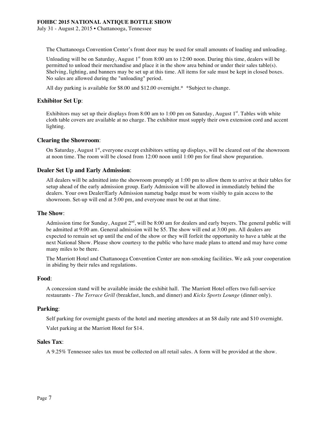The Chattanooga Convention Center's front door may be used for small amounts of loading and unloading.

Unloading will be on Saturday, August  $1<sup>st</sup>$  from 8:00 am to 12:00 noon. During this time, dealers will be permitted to unload their merchandise and place it in the show area behind or under their sales table(s). Shelving, lighting, and banners may be set up at this time. All items for sale must be kept in closed boxes. No sales are allowed during the "unloading" period.

All day parking is available for \$8.00 and \$12.00 overnight.\* \*Subject to change.

#### **Exhibitor Set Up**:

Exhibitors may set up their displays from 8:00 am to 1:00 pm on Saturday, August 1<sup>st</sup>. Tables with white cloth table covers are available at no charge. The exhibitor must supply their own extension cord and accent lighting.

#### **Clearing the Showroom**:

On Saturday, August 1<sup>st</sup>, everyone except exhibitors setting up displays, will be cleared out of the showroom at noon time. The room will be closed from 12:00 noon until 1:00 pm for final show preparation.

#### **Dealer Set Up and Early Admission**:

All dealers will be admitted into the showroom promptly at 1:00 pm to allow them to arrive at their tables for setup ahead of the early admission group. Early Admission will be allowed in immediately behind the dealers. Your own Dealer/Early Admission nametag badge must be worn visibly to gain access to the showroom. Set-up will end at 5:00 pm, and everyone must be out at that time.

#### **The Show**:

Admission time for Sunday, August  $2<sup>nd</sup>$ , will be 8:00 am for dealers and early buyers. The general public will be admitted at 9:00 am. General admission will be \$5. The show will end at 3:00 pm. All dealers are expected to remain set up until the end of the show or they will forfeit the opportunity to have a table at the next National Show. Please show courtesy to the public who have made plans to attend and may have come many miles to be there.

The Marriott Hotel and Chattanooga Convention Center are non-smoking facilities. We ask your cooperation in abiding by their rules and regulations.

#### **Food**:

A concession stand will be available inside the exhibit hall. The Marriott Hotel offers two full-service restaurants - *The Terrace Grill* (breakfast, lunch, and dinner) and *Kicks Sports Lounge* (dinner only).

#### **Parking**:

Self parking for overnight guests of the hotel and meeting attendees at an \$8 daily rate and \$10 overnight.

Valet parking at the Marriott Hotel for \$14.

#### **Sales Tax**:

A 9.25% Tennessee sales tax must be collected on all retail sales. A form will be provided at the show.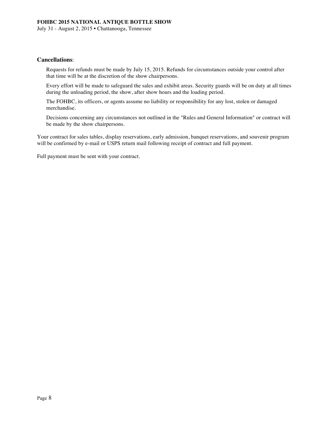#### **Cancellations**:

Requests for refunds must be made by July 15, 2015. Refunds for circumstances outside your control after that time will be at the discretion of the show chairpersons.

Every effort will be made to safeguard the sales and exhibit areas. Security guards will be on duty at all times during the unloading period, the show, after show hours and the loading period.

The FOHBC, its officers, or agents assume no liability or responsibility for any lost, stolen or damaged merchandise.

Decisions concerning any circumstances not outlined in the "Rules and General Information" or contract will be made by the show chairpersons.

Your contract for sales tables, display reservations, early admission, banquet reservations, and souvenir program will be confirmed by e-mail or USPS return mail following receipt of contract and full payment.

Full payment must be sent with your contract.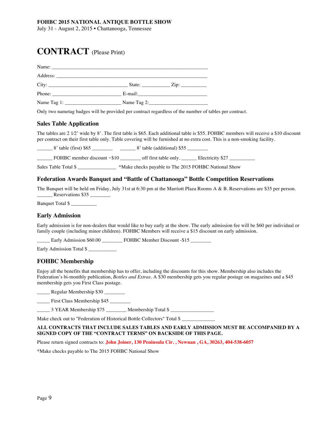## **CONTRACT** (Please Print)

| Phone: $\frac{1}{1}$    |  |
|-------------------------|--|
| Name Tag 1: Name Tag 2: |  |

Only two nametag badges will be provided per contract regardless of the number of tables per contract.

#### **Sales Table Application**

The tables are 2 1⁄2' wide by 8'. The first table is \$65. Each additional table is \$55. FOHBC members will receive a \$10 discount per contract on their first table only. Table covering will be furnished at no extra cost. This is a non-smoking facility.

\_8' table (first) \$65 \_\_\_\_\_\_\_\_\_\_\_\_\_\_ 8' table (additional) \$55 \_\_\_\_\_\_\_\_\_\_ \_\_\_\_\_\_ FOHBC member discount ‐\$10 \_\_\_\_\_\_\_\_ off first table only. \_\_\_\_\_\_ Electricity \$27 \_\_\_\_\_\_\_\_\_\_

Sales Table Total \$  $*$ Make checks payable to The 2015 FOHBC National Show

#### **Federation Awards Banquet and "Battle of Chattanooga" Bottle Competition Reservations**

The Banquet will be held on Friday, July 31st at 6:30 pm at the Marriott Plaza Rooms A & B. Reservations are \$35 per person. \_\_\_\_\_\_ Reservations \$35 \_\_\_\_\_\_\_\_

Banquet Total \$ \_\_\_\_\_\_\_\_\_\_

#### **Early Admission**

Early admission is for non-dealers that would like to buy early at the show. The early admission fee will be \$60 per individual or family couple (including minor children). FOHBC Members will receive a \$15 discount on early admission.

\_\_\_\_\_ Early Admission \$60.00 \_\_\_\_\_\_\_\_ FOHBC Member Discount -\$15 \_\_\_\_\_\_\_\_

Early Admission Total \$

#### **FOHBC Membership**

Enjoy all the benefits that membership has to offer, including the discounts for this show. Membership also includes the Federation's bi-monthly publication, *Bottles and Extras*. A \$30 membership gets you regular postage on magazines and a \$45 membership gets you First Class postage.

\_\_\_\_\_ Regular Membership \$30 \_\_\_\_\_\_\_\_

\_\_\_\_\_ First Class Membership \$45 \_\_\_\_\_\_\_\_

\_\_\_\_\_ 3 YEAR Membership \$75 \_\_\_\_\_\_\_\_ Membership Total \$ \_\_\_\_\_\_\_\_\_\_\_\_\_\_\_\_\_

Make check out to "Federation of Historical Bottle Collectors" Total \$

#### **ALL CONTRACTS THAT INCLUDE SALES TABLES AND EARLY ADMISSION MUST BE ACCOMPANIED BY A SIGNED COPY OF THE "CONTRACT TERMS" ON BACKSIDE OF THIS PAGE.**

Please return signed contracts to: **John Joiner, 130 Peninsula Cir. , Newnan , GA, 30263, 404-538-6057** 

\*Make checks payable to The 2015 FOHBC National Show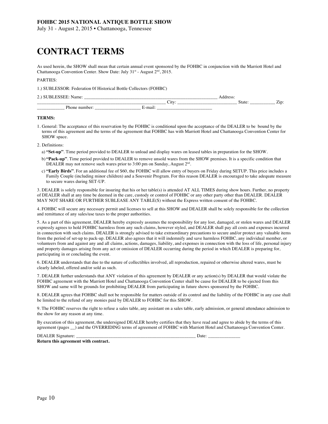July 31 - August 2, 2015 • Chattanooga, Tennessee

# **CONTRACT TERMS**

As used herein, the SHOW shall mean that certain annual event sponsored by the FOHBC in conjunction with the Marriott Hotel and Chattanooga Convention Center. Show Date: July 31<sup>st</sup> - August 2<sup>nd</sup>, 2015.

#### PARTIES:

1.) SUBLESSOR: Federation 0f Historical Bottle Collectors (FOHBC)

| 2.) SUBLESSEE: Name: |  |
|----------------------|--|
|                      |  |

| -<br>_ .              | ______                   |              |                 |
|-----------------------|--------------------------|--------------|-----------------|
|                       | 's fre<br>∪u             | <b>State</b> | $\cdots$<br>. . |
| DI.<br>nn<br>1<br>. . | ma <sub>0</sub><br>-піан |              |                 |

#### **TERMS:**

- 1. General: The acceptance of this reservation by the FOHBC is conditional upon the acceptance of the DEALER to be bound by the terms of this agreement and the terms of the agreement that FOHBC has with Marriott Hotel and Chattanooga Convention Center for SHOW space.
- 2. Definitions:
	- a) **"Set-up"**. Time period provided to DEALER to unload and display wares on leased tables in preparation for the SHOW.
	- b) **"Pack-up"**. Time period provided to DEALER to remove unsold wares from the SHOW premises. It is a specific condition that DEALER may not remove such wares prior to 3:00 pm on Sunday, August  $2<sup>nd</sup>$ .
	- c) **"Early Birds"**. For an additional fee of \$60, the FOHBC will allow entry of buyers on Friday during SETUP. This price includes a Family Couple (including minor children) and a Souvenir Program. For this reason DEALER is encouraged to take adequate measure to secure wares during SET-UP.

3. DEALER is solely responsible for insuring that his or her table(s) is attended AT ALL TIMES during show hours. Further, no property of DEALER shall at any time be deemed in the care, custody or control of FOHBC or any other party other than DEALER. DEALER MAY NOT SHARE OR FURTHER SUBLEASE ANY TABLE(S) without the Express written consent of the FOHBC.

4. FOHBC will secure any necessary permit and licenses to sell at this SHOW and DEALER shall be solely responsible for the collection and remittance of any sales/use taxes to the proper authorities.

5. As a part of this agreement, DEALER hereby expressly assumes the responsibility for any lost, damaged, or stolen wares and DEALER expressly agrees to hold FOHBC harmless from any such claims, however styled, and DEALER shall pay all costs and expenses incurred in connection with such claims. DEALER is strongly advised to take extraordinary precautions to secure and/or protect any valuable items from the period of set-up to pack-up. DEALER also agrees that it will indemnify and save harmless FOHBC, any individual member, or volunteers from and against any and all claims, actions, damages, liability, and expenses in connection with the loss of life, personal injury and property damages arising from any act or omission of DEALER occurring during the period in which DEALER is preparing for, participating in or concluding the event.

6. DEALER understands that due to the nature of collectibles involved, all reproduction, repaired or otherwise altered wares, must be clearly labeled, offered and/or sold as such.

7. DEALER further understands that ANY violation of this agreement by DEALER or any action(s) by DEALER that would violate the FOHBC agreement with the Marriott Hotel and Chattanooga Convention Center shall be cause for DEALER to be ejected from this SHOW and same will be grounds for prohibiting DEALER from participating in future shows sponsored by the FOHBC.

8. DEALER agrees that FOHBC shall not be responsible for matters outside of its control and the liability of the FOHBC in any case shall be limited to the refund of any monies paid by DEALER to FOHBC for this SHOW.

9. The FOHBC reserves the right to refuse a sales table, any assistant on a sales table, early admission, or general attendance admission to the show for any reason at any time.

By execution of this agreement, the undersigned DEALER hereby certifies that they have read and agree to abide by the terms of this agreement (pages \_\_) and the OVERRIDING terms of agreement of FOHBC with Marriott Hotel and Chattanooga Convention Center.

DEALER Signature: \_\_\_\_\_\_\_\_\_\_\_\_\_\_\_\_\_\_\_\_\_\_\_\_\_\_\_\_\_\_\_\_\_\_\_\_\_\_\_\_\_\_\_\_\_\_\_\_\_\_\_\_ Date: \_\_\_\_\_\_\_\_\_\_\_\_\_\_ **Return this agreement with contract.** 

Page 10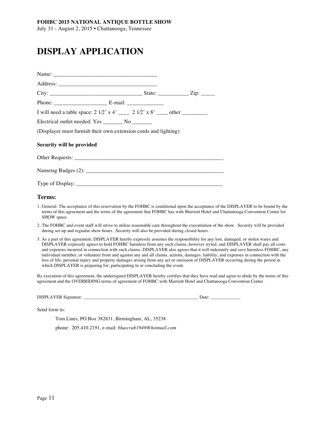# **DISPLAY APPLICATION**

| I will need a table space: $2 \frac{1}{2}$ x 4' _____ $2 \frac{1}{2}$ x 8' ____ other ________ |  |  |
|------------------------------------------------------------------------------------------------|--|--|
| Electrical outlet needed: Yes __________ No ________                                           |  |  |
| (Displayer must furnish their own extension cords and lighting)                                |  |  |
| Security will be provided                                                                      |  |  |
|                                                                                                |  |  |
|                                                                                                |  |  |
|                                                                                                |  |  |

#### **Terms:**

- 1. General: The acceptance of this reservation by the FOHBC is conditional upon the acceptance of the DISPLAYER to be bound by the terms of this agreement and the terms of the agreement that FOHBC has with Marriott Hotel and Chattanooga Convention Center for SHOW space.
- 2. The FOHBC and event staff will strive to utilize reasonable care throughout the executiution of the show. Security will be provided during set-up and regualar show hours. Security will also be provided during closed hours.
- 3. As a part of this agreement, DISPLAYER hereby expressly assumes the responsibility for any lost, damaged, or stolen wares and DISPLAYER expressly agrees to hold FOHBC harmless from any such claims, however styled, and DISPLAYER shall pay all costs and expenses incurred in connection with such claims. DISPLAYER also agrees that it will indemnify and save harmless FOHBC, any individual member, or volunteer from and against any and all claims, actions, damages, liability, and expenses in connection with the loss of life, personal injury and property damages arising from any act or omission of DISPLAYER occurring during the period in which DISPLAYER is preparing for, participating in or concluding the event.

By execution of this agreement, the undersigned DISPLAYER hereby certifies that they have read and agree to abide by the terms of this agreement and the OVERRIDING terms of agreement of FOHBC with Marriott Hotel and Chattanooga Convention Center.

DISPLAYER Signature: \_\_\_\_\_\_\_\_\_\_\_\_\_\_\_\_\_\_\_\_\_\_\_\_\_\_\_\_\_\_\_\_\_\_\_\_\_\_\_\_\_\_\_\_\_\_\_\_\_\_ Date: \_\_\_\_\_\_\_\_\_\_\_\_\_

Send form to:

Tom Lines, PO Box 382831, Birmingham, AL, 35238

phone: 205.410.2191, e-mail: *bluecrab1949@hotmail.com*